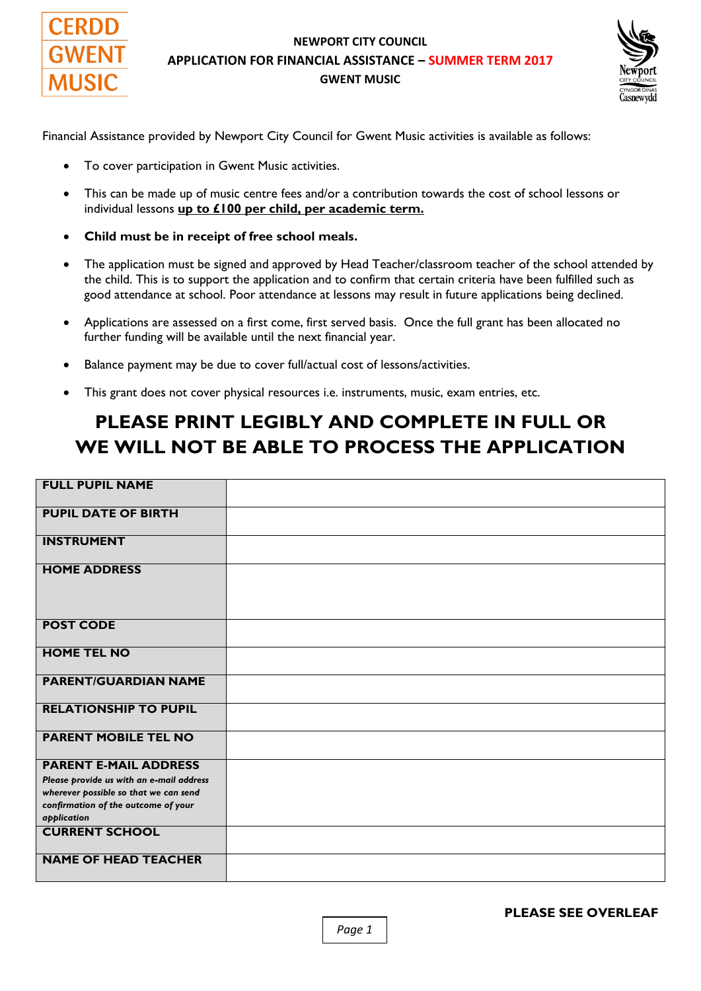

#### **NEWPORT CITY COUNCIL APPLICATION FOR FINANCIAL ASSISTANCE – SUMMER TERM 2017 GWENT MUSIC**



Financial Assistance provided by Newport City Council for Gwent Music activities is available as follows:

- To cover participation in Gwent Music activities.
- This can be made up of music centre fees and/or a contribution towards the cost of school lessons or individual lessons **up to £100 per child, per academic term.**
- **Child must be in receipt of free school meals.**
- The application must be signed and approved by Head Teacher/classroom teacher of the school attended by the child. This is to support the application and to confirm that certain criteria have been fulfilled such as good attendance at school. Poor attendance at lessons may result in future applications being declined.
- Applications are assessed on a first come, first served basis. Once the full grant has been allocated no further funding will be available until the next financial year.
- Balance payment may be due to cover full/actual cost of lessons/activities.
- This grant does not cover physical resources i.e. instruments, music, exam entries, etc.

## **PLEASE PRINT LEGIBLY AND COMPLETE IN FULL OR WE WILL NOT BE ABLE TO PROCESS THE APPLICATION**

| <b>FULL PUPIL NAME</b>                                                            |  |
|-----------------------------------------------------------------------------------|--|
| <b>PUPIL DATE OF BIRTH</b>                                                        |  |
| <b>INSTRUMENT</b>                                                                 |  |
| <b>HOME ADDRESS</b>                                                               |  |
| <b>POST CODE</b>                                                                  |  |
| <b>HOME TEL NO</b>                                                                |  |
| <b>PARENT/GUARDIAN NAME</b>                                                       |  |
| <b>RELATIONSHIP TO PUPIL</b>                                                      |  |
| <b>PARENT MOBILE TEL NO</b>                                                       |  |
| <b>PARENT E-MAIL ADDRESS</b>                                                      |  |
| Please provide us with an e-mail address<br>wherever possible so that we can send |  |
| confirmation of the outcome of your<br>application                                |  |
| <b>CURRENT SCHOOL</b>                                                             |  |
| <b>NAME OF HEAD TEACHER</b>                                                       |  |

**PLEASE SEE OVERLEAF** 

*Page 1*